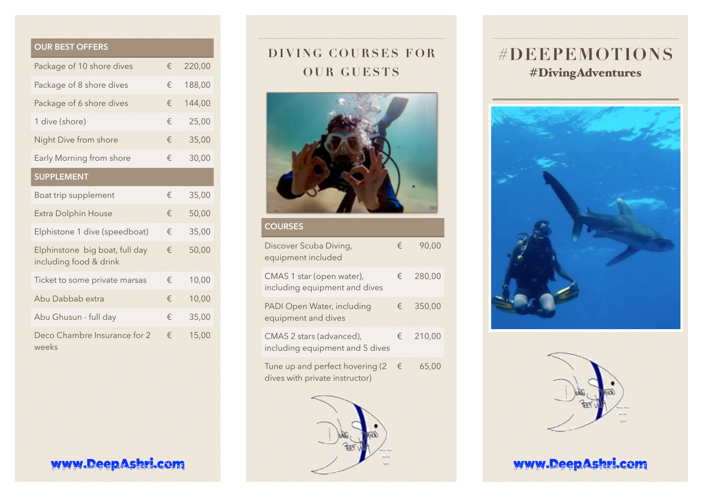|  | <b>OUR BEST OFFERS</b> |  |  |
|--|------------------------|--|--|
|  |                        |  |  |

| Package of 10 shore dives                                | € | 220,00 |
|----------------------------------------------------------|---|--------|
| Package of 8 shore dives                                 | € | 188,00 |
| Package of 6 shore dives                                 | € | 144,00 |
| 1 dive (shore)                                           | € | 25,00  |
| Night Dive from shore                                    | € | 35,00  |
| Early Morning from shore                                 | € | 30,00  |
| <b>SUPPLEMENT</b>                                        |   |        |
| Boat trip supplement                                     | € | 35,00  |
| <b>Extra Dolphin House</b>                               | € | 50,00  |
| Elphistone 1 dive (speedboat)                            | € | 35,00  |
| Elphinstone big boat, full day<br>including food & drink |   | 50,00  |
| Ticket to some private marsas                            | € | 10,00  |
| Abu Dabbab extra                                         | € | 10,00  |
| Abu Ghusun - full day                                    | € | 35,00  |
| Deco Chambre Insurance for 2<br>weeks                    | € | 15,00  |

# **DIVING COURSES FOR OUR GUESTS**



## **COURSES** Discover Scuba Diving, equipment included € 90,00 CMAS 1 star (open water), including equipment and dives € 280,00 PADI Open Water, including equipment and dives € 350,00 CMAS 2 stars (advanced), including equipment and 5 dives € 210,00 Tune up and perfect hovering (2  $\epsilon$ dives with private instructor) € 65,00



# **#DEEPEMOTIONS**  #DivingAdventures





## www.[DeepAshri.com](http://DeepAshri.com) www.DeepAshri.com